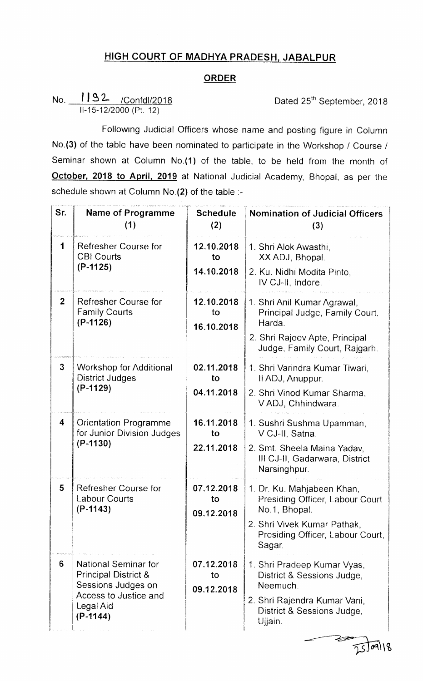## HIGH COURT OF MADHYA PRADESH JABALPUR

## ORDER

## No. 1192 /Confdl/2018 Dated 25<sup>th</sup> September, 2018 ll-15-12/2000 (Pt.-12)

 $\sqrt{25}$ 

Following Judicial Officers whose name and posting figure in Column No.(3) of the table have been nominated to participate in the Workshop / Course / Seminar shown at Column No.(1) of the table, to be held from the month of October, 2018 to April, 2019 at National Judicial Academy, Bhopal, as per the schedule shown at Column No.(2) of the table :-

| Sr.                 | <b>Name of Programme</b><br>(1)                                                                                                   | <b>Schedule</b><br>(2)         | <b>Nomination of Judicial Officers</b><br>(3)                                 |
|---------------------|-----------------------------------------------------------------------------------------------------------------------------------|--------------------------------|-------------------------------------------------------------------------------|
| 1                   | Refresher Course for<br><b>CBI Courts</b><br>$(P-1125)$                                                                           | 12.10.2018<br>to               | 1. Shri Alok Awasthi.<br>XX ADJ, Bhopal.                                      |
|                     |                                                                                                                                   | 14.10.2018                     | 2. Ku. Nidhi Modita Pinto,<br>IV CJ-II, Indore.                               |
| 2 <sup>2</sup>      | Refresher Course for<br><b>Family Courts</b><br>$(P-1126)$                                                                        | 12.10.2018<br>to<br>16.10.2018 | 1. Shri Anil Kumar Agrawal,<br>Principal Judge, Family Court.<br>Harda.       |
|                     |                                                                                                                                   |                                | 2. Shri Rajeev Apte, Principal<br>Judge, Family Court, Rajgarh.               |
| $\overline{3}$      | <b>Workshop for Additional</b><br><b>District Judges</b><br>$(P-1129)$                                                            | 02.11.2018<br>to               | 1. Shri Varindra Kumar Tiwari,<br>II ADJ, Anuppur.                            |
|                     |                                                                                                                                   | 04.11.2018                     | 2. Shri Vinod Kumar Sharma,<br>VADJ, Chhindwara.                              |
| $\overline{\bf{4}}$ | <b>Orientation Programme</b><br>for Junior Division Judges<br>$(P-1130)$                                                          | 16.11.2018<br>to               | 1. Sushri Sushma Upamman,<br>V CJ-II, Satna.                                  |
|                     |                                                                                                                                   | 22.11.2018                     | 2. Smt. Sheela Maina Yadav,<br>III CJ-II, Gadarwara, District<br>Narsinghpur. |
| 5                   | Refresher Course for<br>Labour Courts<br>$(P-1143)$                                                                               | 07.12.2018<br>to               | 1. Dr. Ku. Mahjabeen Khan,<br>Presiding Officer, Labour Court                 |
|                     |                                                                                                                                   | 09.12.2018                     | No.1, Bhopal.<br>2. Shri Vivek Kumar Pathak,                                  |
|                     |                                                                                                                                   |                                | Presiding Officer, Labour Court,<br>Sagar.                                    |
| 6                   | National Seminar for<br><b>Principal District &amp;</b><br>Sessions Judges on<br>Access to Justice and<br>Legal Aid<br>$(P-1144)$ | 07.12.2018<br>to<br>09.12.2018 | 1. Shri Pradeep Kumar Vyas,<br>District & Sessions Judge,<br>Neemuch.         |
|                     |                                                                                                                                   |                                | 2. Shri Rajendra Kumar Vani,<br>District & Sessions Judge,<br>Ujjain.         |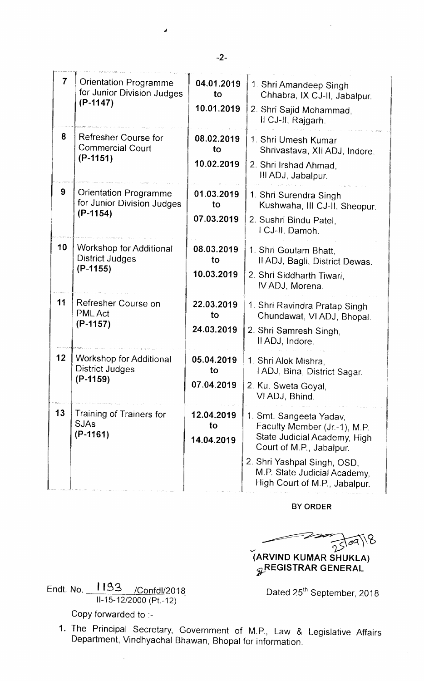| $\overline{7}$ | Orientation Programme<br>for Junior Division Judges<br>$(P-1147)$ | 04.01.2019<br>to<br>10.01.2019 | 1. Shri Amandeep Singh<br>Chhabra, IX CJ-II, Jabalpur.<br>2. Shri Sajid Mohammad,<br>II CJ-II, Rajgarh.                                            |
|----------------|-------------------------------------------------------------------|--------------------------------|----------------------------------------------------------------------------------------------------------------------------------------------------|
| 8              | Refresher Course for<br><b>Commercial Court</b><br>$(P-1151)$     | 08.02.2019<br>to<br>10.02.2019 | 1. Shri Umesh Kumar<br>Shrivastava, XII ADJ, Indore.<br>2. Shri Irshad Ahmad.<br>III ADJ, Jabalpur.                                                |
| 9              | Orientation Programme<br>for Junior Division Judges<br>$(P-1154)$ | 01.03.2019<br>to<br>07.03.2019 | 1. Shri Surendra Singh<br>Kushwaha, III CJ-II, Sheopur.<br>2. Sushri Bindu Patel,<br>I CJ-II, Damoh.                                               |
| 10             | Workshop for Additional<br><b>District Judges</b><br>$(P-1155)$   | 08.03.2019<br>to<br>10.03.2019 | 1. Shri Goutam Bhatt,<br>Il ADJ, Bagli, District Dewas.<br>2. Shri Siddharth Tiwari,<br>IV ADJ, Morena.                                            |
| 11             | Refresher Course on<br><b>PML Act</b><br>$(P-1157)$               | 22.03.2019<br>to<br>24.03.2019 | 1. Shri Ravindra Pratap Singh<br>Chundawat, VI ADJ, Bhopal.<br>2. Shri Samresh Singh,<br>II ADJ, Indore.                                           |
| 12             | Workshop for Additional<br><b>District Judges</b><br>$(P-1159)$   | 05.04.2019<br>to<br>07.04.2019 | 1. Shri Alok Mishra,<br>IADJ, Bina, District Sagar.<br>2. Ku. Sweta Goyal,<br>VI ADJ, Bhind.                                                       |
| 13             | Training of Trainers for<br><b>SJAs</b><br>$(P-1161)$             | 12.04.2019<br>to<br>14.04.2019 | 1. Smt. Sangeeta Yadav,<br>Faculty Member (Jr.-1), M.P.<br>State Judicial Academy, High<br>Court of M.P., Jabalpur.<br>2. Shri Yashpal Singh, OSD, |
|                |                                                                   |                                | M.P. State Judicial Academy,<br>High Court of M.P., Jabalpur.                                                                                      |

BY ORDER

iARVIND KUMAR SHUKLA) BY ORDER<br>25/09/18 *g***REGISTRAR GENERAL** 

Endt. No. 1193 / Confdl/2018 ll-15-12/2000 (Pt.~12)

Dated 25<sup>th</sup> September, 2018

Copy forvarded to :-

1. The Principal Secretary, Government of M.P., Law & Legislative Affairs Department, Vindhyachal Bhawan, Bhopal for information.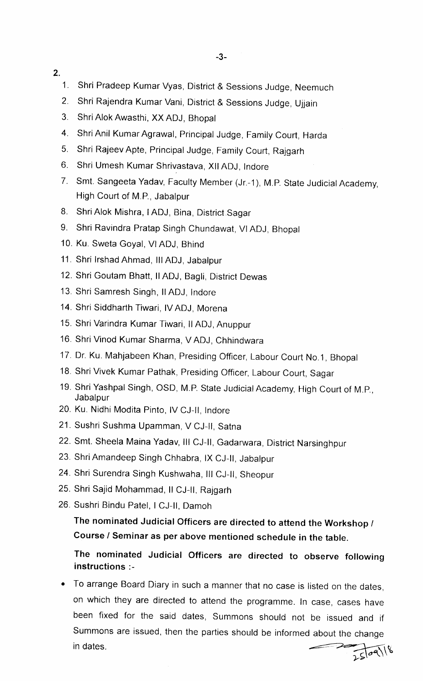- 2.
	- 1. Shri Pradeep Kumar Vyas, District & Sessions Judge, Neemuch
	- 2. Shri Rajendra Kumar Vani, District & Sessions Judge, Ujjain
	- 3. Shri Alok Awasthi, XX ADJ, Bhopal
	- 4. Shri Anil Kumar Agrawal, Principal Judge, Family Court, Harda
	- 5. Shri RajeevApte, Principal Judge, Family Court, Rajgarh
	- 6. Shri Umesh Kumar Shrivastava, XllADJ, lndore
	- 7. Smt. Sangeeta Yadav, Faculty Member (Jr.-1), M.P. State Judicial Academy, High Court of M.P., Jabalpur
	- 8. Shri Alok Mishra, IADJ, Bina, District Sagar
	- 9. Shri Ravindra Pratap Singh Chundawat, VIADJ, Bhopal
	- 10. Ku. Sweta Goyal, VI ADJ, Bhind
	- 11. Shri Irshad Ahmad, III ADJ, Jabalpur
	- 12. Shri Goutam Bhatt, II ADJ, Bagli, District Dewas
	- 13. Shri Samresh Singh, II ADJ, Indore
	- 14. Shri Siddharth Tiwari, IV ADJ, Morena
	- 15. Shri Varindra Kumar Tiwari, II ADJ, Anuppur
	- 16. Shri Vinod Kumar Sharma, VADJ, Chhindwara
	- 17. Dr. Ku. Mahjabeen Khan, Presiding Officer, Labour Court No.1, Bhopal
	- 18. Shri Vivek Kumar Pathak, Presiding Officer, Labour Court, Sagar
	- 19. Shri Yashpal Singh, OSD, M.P. State Judicial Academy, High Court of M.P., **Jabalpur**
	- 20. Ku. Nidhi Modita Pinto, lv CJ-lI, lndore
	- 21. Sushri Sushma Upamman, V CJ-Il, Satna
	- 22. Smt. Sheela Maina Yadav, III CJ-II, Gadarwara, District Narsinghpur
	- 23 Shri Amandeep Singh Chhabra, lx CJ-ll, Jabalpur
	- 24. Shri Surendra Singh Kushwaha, III CJ-II, Sheopur
	- 25. Shri Sajid Mohammad, Il CJ-II, Rajgarh
	- 26. Sushri Bindu Patel, I CJ-II, Damoh

The nominated Judicial Officers are directed to attend the Workshop / Course / Seminar as per above mentioned schedule in the table.

## The nominated Judicial Officers are directed to observe following instructions :-

• To arrange Board Diary in such a manner that no case is listed on the dates, on which they are directed to attend the programme. In case, cases have been fixed for the said dates, Summons should not be issued and if Summons are issued, then the parties should be informed about the change in dates. $2509118$